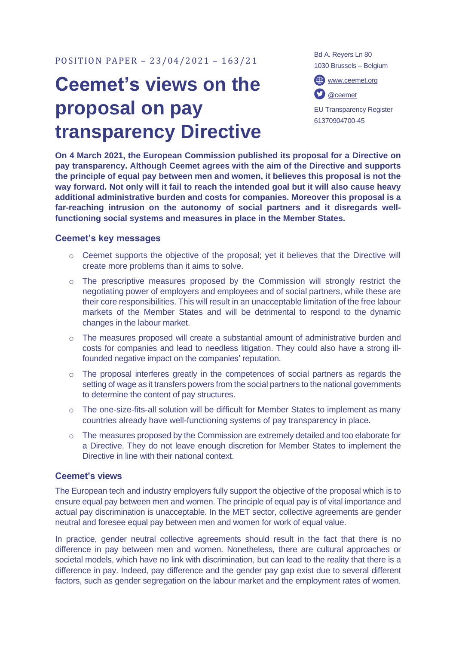## **Ceemet's views on the proposal on pay transparency Directive**

Bd A. Reyers Ln 80 1030 Brussels – Belgium

[www.ceemet.org](http://www.ceemet.org/) [@ceemet](https://twitter.com/CEEMET)

EU Transparency Register [61370904700-45](http://ec.europa.eu/transparencyregister/public/consultation/displaylobbyist.do?id=61370904700-45&isListLobbyistView=true)

**On 4 March 2021, the European Commission published its proposal for a Directive on pay transparency. Although Ceemet agrees with the aim of the Directive and supports the principle of equal pay between men and women, it believes this proposal is not the way forward. Not only will it fail to reach the intended goal but it will also cause heavy additional administrative burden and costs for companies. Moreover this proposal is a far-reaching intrusion on the autonomy of social partners and it disregards wellfunctioning social systems and measures in place in the Member States.** 

## **Ceemet's key messages**

- o Ceemet supports the objective of the proposal; yet it believes that the Directive will create more problems than it aims to solve.
- $\circ$  The prescriptive measures proposed by the Commission will strongly restrict the negotiating power of employers and employees and of social partners, while these are their core responsibilities. This will result in an unacceptable limitation of the free labour markets of the Member States and will be detrimental to respond to the dynamic changes in the labour market.
- $\circ$  The measures proposed will create a substantial amount of administrative burden and costs for companies and lead to needless litigation. They could also have a strong illfounded negative impact on the companies' reputation.
- $\circ$  The proposal interferes greatly in the competences of social partners as regards the setting of wage as it transfers powers from the social partners to the national governments to determine the content of pay structures.
- o The one-size-fits-all solution will be difficult for Member States to implement as many countries already have well-functioning systems of pay transparency in place.
- o The measures proposed by the Commission are extremely detailed and too elaborate for a Directive. They do not leave enough discretion for Member States to implement the Directive in line with their national context.

## **Ceemet's views**

The European tech and industry employers fully support the objective of the proposal which is to ensure equal pay between men and women. The principle of equal pay is of vital importance and actual pay discrimination is unacceptable. In the MET sector, collective agreements are gender neutral and foresee equal pay between men and women for work of equal value.

In practice, gender neutral collective agreements should result in the fact that there is no difference in pay between men and women. Nonetheless, there are cultural approaches or societal models, which have no link with discrimination, but can lead to the reality that there is a difference in pay. Indeed, pay difference and the gender pay gap exist due to several different factors, such as gender segregation on the labour market and the employment rates of women.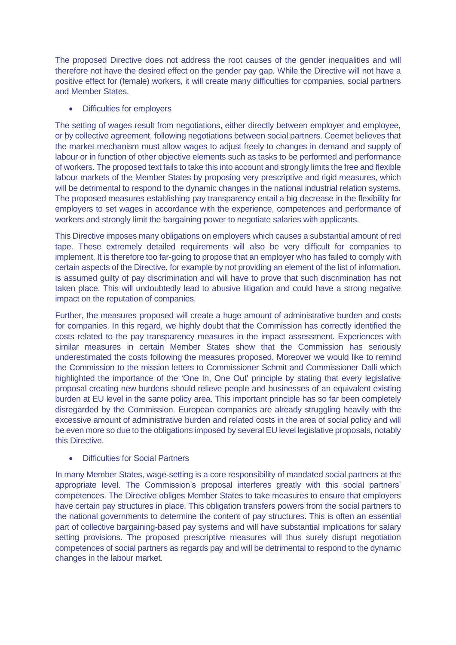The proposed Directive does not address the root causes of the gender inequalities and will therefore not have the desired effect on the gender pay gap. While the Directive will not have a positive effect for (female) workers, it will create many difficulties for companies, social partners and Member States.

• Difficulties for employers

The setting of wages result from negotiations, either directly between employer and employee, or by collective agreement, following negotiations between social partners. Ceemet believes that the market mechanism must allow wages to adjust freely to changes in demand and supply of labour or in function of other objective elements such as tasks to be performed and performance of workers. The proposed text fails to take this into account and strongly limits the free and flexible labour markets of the Member States by proposing very prescriptive and rigid measures, which will be detrimental to respond to the dynamic changes in the national industrial relation systems. The proposed measures establishing pay transparency entail a big decrease in the flexibility for employers to set wages in accordance with the experience, competences and performance of workers and strongly limit the bargaining power to negotiate salaries with applicants.

This Directive imposes many obligations on employers which causes a substantial amount of red tape. These extremely detailed requirements will also be very difficult for companies to implement. It is therefore too far-going to propose that an employer who has failed to comply with certain aspects of the Directive, for example by not providing an element of the list of information, is assumed guilty of pay discrimination and will have to prove that such discrimination has not taken place. This will undoubtedly lead to abusive litigation and could have a strong negative impact on the reputation of companies.

Further, the measures proposed will create a huge amount of administrative burden and costs for companies. In this regard, we highly doubt that the Commission has correctly identified the costs related to the pay transparency measures in the impact assessment. Experiences with similar measures in certain Member States show that the Commission has seriously underestimated the costs following the measures proposed. Moreover we would like to remind the Commission to the mission letters to Commissioner Schmit and Commissioner Dalli which highlighted the importance of the 'One In, One Out' principle by stating that every legislative proposal creating new burdens should relieve people and businesses of an equivalent existing burden at EU level in the same policy area. This important principle has so far been completely disregarded by the Commission. European companies are already struggling heavily with the excessive amount of administrative burden and related costs in the area of social policy and will be even more so due to the obligations imposed by several EU level legislative proposals, notably this Directive.

• Difficulties for Social Partners

In many Member States, wage-setting is a core responsibility of mandated social partners at the appropriate level. The Commission's proposal interferes greatly with this social partners' competences. The Directive obliges Member States to take measures to ensure that employers have certain pay structures in place. This obligation transfers powers from the social partners to the national governments to determine the content of pay structures. This is often an essential part of collective bargaining-based pay systems and will have substantial implications for salary setting provisions. The proposed prescriptive measures will thus surely disrupt negotiation competences of social partners as regards pay and will be detrimental to respond to the dynamic changes in the labour market.